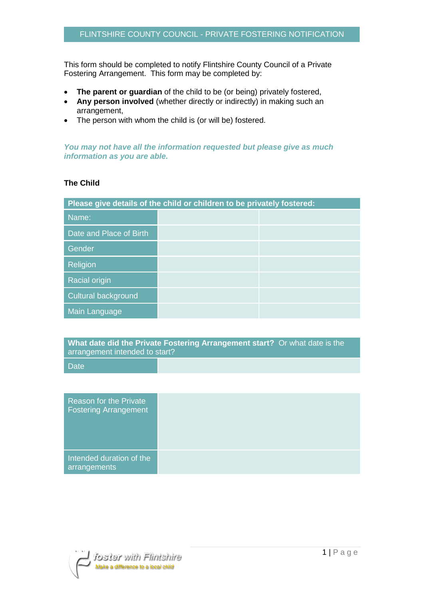This form should be completed to notify Flintshire County Council of a Private Fostering Arrangement. This form may be completed by:

- **The parent or guardian** of the child to be (or being) privately fostered,
- **Any person involved** (whether directly or indirectly) in making such an arrangement,
- The person with whom the child is (or will be) fostered.

*You may not have all the information requested but please give as much information as you are able.*

## **The Child**

| Please give details of the child or children to be privately fostered: |  |  |
|------------------------------------------------------------------------|--|--|
| Name:                                                                  |  |  |
| Date and Place of Birth                                                |  |  |
| Gender                                                                 |  |  |
| Religion                                                               |  |  |
| <b>Racial origin</b>                                                   |  |  |
| Cultural background                                                    |  |  |
| Main Language                                                          |  |  |

**What date did the Private Fostering Arrangement start?** Or what date is the arrangement intended to start?

**Date** 

| Reason for the Private<br><b>Fostering Arrangement</b> |
|--------------------------------------------------------|
| Intended duration of the<br>arrangements               |

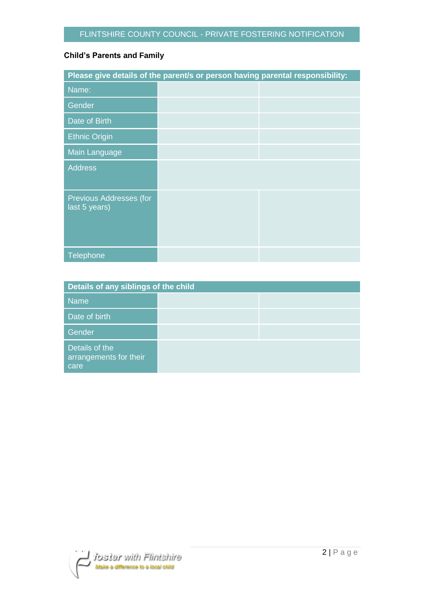## **Child's Parents and Family**

| Please give details of the parent/s or person having parental responsibility: |  |  |
|-------------------------------------------------------------------------------|--|--|
| Name:                                                                         |  |  |
| Gender                                                                        |  |  |
| Date of Birth                                                                 |  |  |
| <b>Ethnic Origin</b>                                                          |  |  |
| Main Language                                                                 |  |  |
| <b>Address</b>                                                                |  |  |
| Previous Addresses (for<br>last 5 years)                                      |  |  |
| Telephone                                                                     |  |  |

| Details of any siblings of the child             |  |  |
|--------------------------------------------------|--|--|
| <b>Name</b>                                      |  |  |
| Date of birth                                    |  |  |
| Gender                                           |  |  |
| Details of the<br>arrangements for their<br>care |  |  |

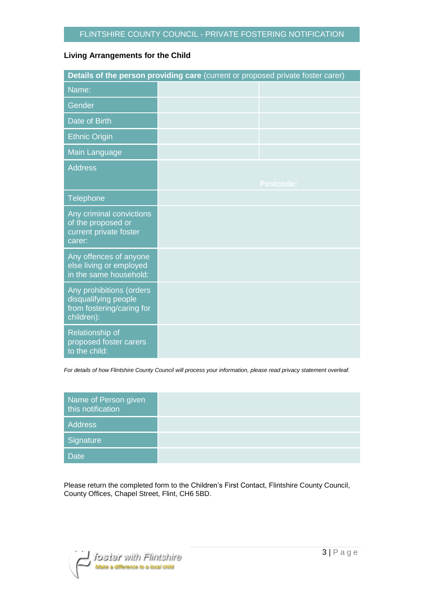## **Living Arrangements for the Child**

| Details of the person providing care (current or proposed private foster carer)             |  |                  |  |
|---------------------------------------------------------------------------------------------|--|------------------|--|
| Name:                                                                                       |  |                  |  |
| Gender                                                                                      |  |                  |  |
| Date of Birth                                                                               |  |                  |  |
| <b>Ethnic Origin</b>                                                                        |  |                  |  |
| Main Language                                                                               |  |                  |  |
| <b>Address</b>                                                                              |  |                  |  |
|                                                                                             |  | <b>Postcode:</b> |  |
| Telephone                                                                                   |  |                  |  |
| Any criminal convictions<br>of the proposed or<br>current private foster<br>carer:          |  |                  |  |
| Any offences of anyone<br>else living or employed<br>in the same household:                 |  |                  |  |
| Any prohibitions (orders<br>disqualifying people<br>from fostering/caring for<br>children): |  |                  |  |
| Relationship of<br>proposed foster carers<br>to the child:                                  |  |                  |  |

*For details of how Flintshire County Council will process your information, please read privacy statement overleaf.*

| Name of Person given<br>this notification |  |
|-------------------------------------------|--|
| Address                                   |  |
| Signature                                 |  |
| <b>Date</b>                               |  |

Please return the completed form to the Children's First Contact, Flintshire County Council, County Offices, Chapel Street, Flint, CH6 5BD.

ifoster with Flintshire<br>Make a difference to a local child